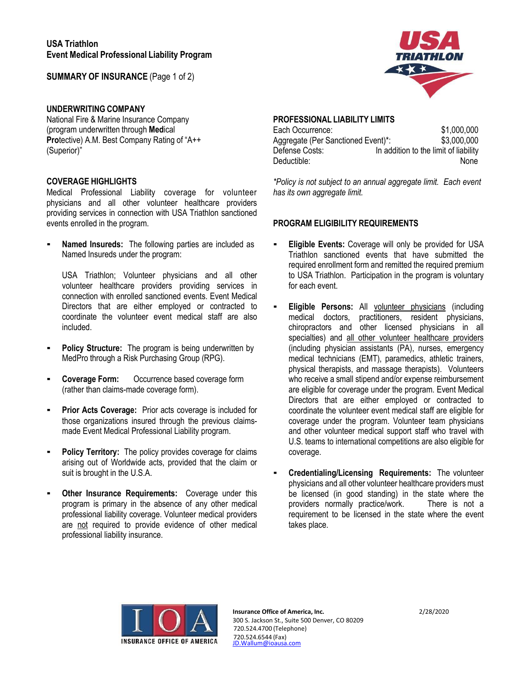**SUMMARY OF INSURANCE** (Page 1 of 2)

## **UNDERWRITING COMPANY**

National Fire & Marine Insurance Company (program underwritten through **Med**ical **Pro**tective) A.M. Best Company Rating of "A++ (Superior)"

### **COVERAGE HIGHLIGHTS**

Medical Professional Liability coverage for volunteer physicians and all other volunteer healthcare providers providing services in connection with USA Triathlon sanctioned events enrolled in the program.

**Named Insureds:** The following parties are included as Named Insureds under the program:

USA Triathlon; Volunteer physicians and all other volunteer healthcare providers providing services in connection with enrolled sanctioned events. Event Medical Directors that are either employed or contracted to coordinate the volunteer event medical staff are also included.

- **Policy Structure:** The program is being underwritten by MedPro through a Risk Purchasing Group (RPG).
- **Coverage Form:** Occurrence based coverage form (rather than claims-made coverage form).
- **Prior Acts Coverage:** Prior acts coverage is included for those organizations insured through the previous claimsmade Event Medical Professional Liability program.
- **Policy Territory:** The policy provides coverage for claims arising out of Worldwide acts, provided that the claim or suit is brought in the U.S.A.
- **Other Insurance Requirements:** Coverage under this program is primary in the absence of any other medical professional liability coverage. Volunteer medical providers are not required to provide evidence of other medical professional liability insurance.

# **PROFESSIONAL LIABILITY LIMITS**

| Each Occurrence:                   | \$1,000,000                           |
|------------------------------------|---------------------------------------|
| Aggregate (Per Sanctioned Event)*: | \$3,000,000                           |
| Defense Costs:                     | In addition to the limit of liability |
| Deductible:                        | <b>None</b>                           |

*\*Policy is not subject to an annual aggregate limit. Each event has its own aggregate limit.*

# **PROGRAM ELIGIBILITY REQUIREMENTS**

- **Eligible Events:** Coverage will only be provided for USA Triathlon sanctioned events that have submitted the required enrollment form and remitted the required premium to USA Triathlon. Participation in the program is voluntary for each event.
- **Eligible Persons:** All volunteer physicians (including medical doctors, practitioners, resident physicians, chiropractors and other licensed physicians in all specialties) and all other volunteer healthcare providers (including physician assistants (PA), nurses, emergency medical technicians (EMT), paramedics, athletic trainers, physical therapists, and massage therapists). Volunteers who receive a small stipend and/or expense reimbursement are eligible for coverage under the program. Event Medical Directors that are either employed or contracted to coordinate the volunteer event medical staff are eligible for coverage under the program. Volunteer team physicians and other volunteer medical support staff who travel with U.S. teams to international competitions are also eligible for coverage.
- **Credentialing/Licensing Requirements:** The volunteer physicians and all other volunteer healthcare providers must be licensed (in good standing) in the state where the providers normally practice/work. There is not a requirement to be licensed in the state where the event takes place.



.com **Insurance Office of America, Inc.** 2/28/2020 300 S. Jackson St., Suite 500 Denver, CO 80209 720.524.4700 (Telephone) 720.524.6544 (Fax)